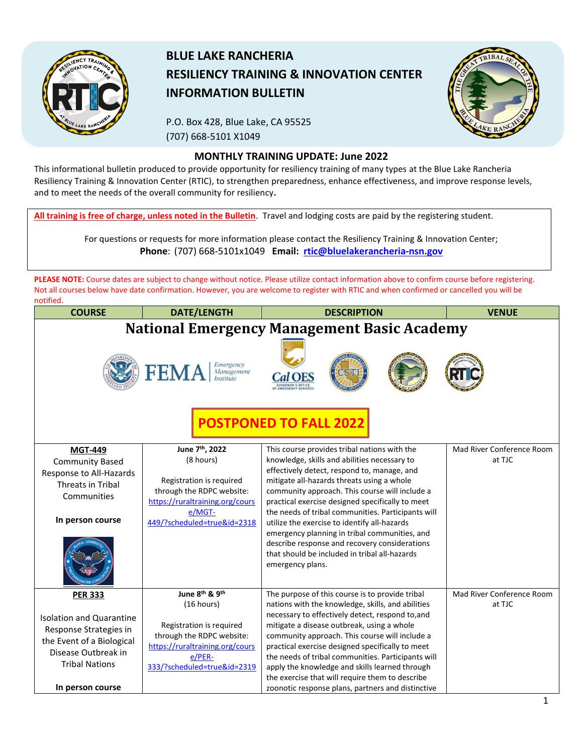

## **BLUE LAKE RANCHERIA RESILIENCY TRAINING & INNOVATION CENTER INFORMATION BULLETIN**

P.O. Box 428, Blue Lake, CA 95525 (707) 668-5101 X1049



## **MONTHLY TRAINING UPDATE: June 2022**

This informational bulletin produced to provide opportunity for resiliency training of many types at the Blue Lake Rancheria Resiliency Training & Innovation Center (RTIC), to strengthen preparedness, enhance effectiveness, and improve response levels, and to meet the needs of the overall community for resiliency**.**

**All training is free of charge, unless noted in the Bulletin**. Travel and lodging costs are paid by the registering student.

For questions or requests for more information please contact the Resiliency Training & Innovation Center; **Phone**: (707) 668-5101x1049 **Email: [rtic@bluelakerancheria-nsn.gov](mailto:rtic@bluelakerancheria-nsn.gov)**

**PLEASE NOTE:** Course dates are subject to change without notice. Please utilize contact information above to confirm course before registering. Not all courses below have date confirmation. However, you are welcome to register with RTIC and when confirmed or cancelled you will be notified.

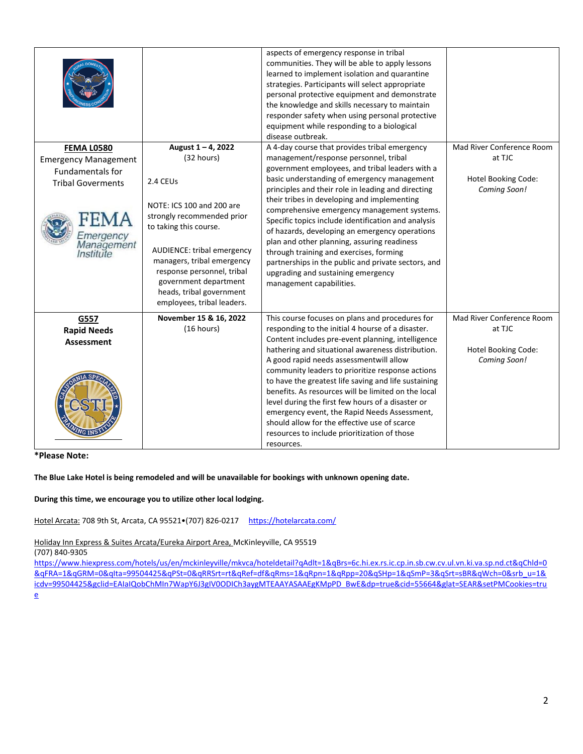|                                                     |                                                                                                                                                                                                                                                                | aspects of emergency response in tribal<br>communities. They will be able to apply lessons<br>learned to implement isolation and quarantine<br>strategies. Participants will select appropriate<br>personal protective equipment and demonstrate<br>the knowledge and skills necessary to maintain<br>responder safety when using personal protective<br>equipment while responding to a biological<br>disease outbreak.                                                           |                                            |
|-----------------------------------------------------|----------------------------------------------------------------------------------------------------------------------------------------------------------------------------------------------------------------------------------------------------------------|------------------------------------------------------------------------------------------------------------------------------------------------------------------------------------------------------------------------------------------------------------------------------------------------------------------------------------------------------------------------------------------------------------------------------------------------------------------------------------|--------------------------------------------|
| <b>FEMA L0580</b>                                   | August 1-4, 2022                                                                                                                                                                                                                                               | A 4-day course that provides tribal emergency                                                                                                                                                                                                                                                                                                                                                                                                                                      | Mad River Conference Room                  |
| <b>Emergency Management</b>                         | (32 hours)                                                                                                                                                                                                                                                     | management/response personnel, tribal                                                                                                                                                                                                                                                                                                                                                                                                                                              | at TJC                                     |
| <b>Fundamentals for</b>                             |                                                                                                                                                                                                                                                                | government employees, and tribal leaders with a                                                                                                                                                                                                                                                                                                                                                                                                                                    |                                            |
| <b>Tribal Goverments</b>                            | 2.4 CEUs                                                                                                                                                                                                                                                       | basic understanding of emergency management                                                                                                                                                                                                                                                                                                                                                                                                                                        | <b>Hotel Booking Code:</b>                 |
| FEMA<br><b>Emergency</b><br>Management<br>Institute | NOTE: ICS 100 and 200 are<br>strongly recommended prior<br>to taking this course.<br>AUDIENCE: tribal emergency<br>managers, tribal emergency<br>response personnel, tribal<br>government department<br>heads, tribal government<br>employees, tribal leaders. | principles and their role in leading and directing<br>their tribes in developing and implementing<br>comprehensive emergency management systems.<br>Specific topics include identification and analysis<br>of hazards, developing an emergency operations<br>plan and other planning, assuring readiness<br>through training and exercises, forming<br>partnerships in the public and private sectors, and<br>upgrading and sustaining emergency<br>management capabilities.       | Coming Soon!                               |
| G557                                                | November 15 & 16, 2022                                                                                                                                                                                                                                         | This course focuses on plans and procedures for                                                                                                                                                                                                                                                                                                                                                                                                                                    | Mad River Conference Room                  |
| <b>Rapid Needs</b>                                  | (16 hours)                                                                                                                                                                                                                                                     | responding to the initial 4 hourse of a disaster.<br>Content includes pre-event planning, intelligence                                                                                                                                                                                                                                                                                                                                                                             | at TJC                                     |
| <b>Assessment</b>                                   |                                                                                                                                                                                                                                                                | hathering and situational awareness distribution.<br>A good rapid needs assessmentwill allow<br>community leaders to prioritize response actions<br>to have the greatest life saving and life sustaining<br>benefits. As resources will be limited on the local<br>level during the first few hours of a disaster or<br>emergency event, the Rapid Needs Assessment,<br>should allow for the effective use of scarce<br>resources to include prioritization of those<br>resources. | <b>Hotel Booking Code:</b><br>Coming Soon! |

**\*Please Note:** 

**The Blue Lake Hotel is being remodeled and will be unavailable for bookings with unknown opening date.**

**During this time, we encourage you to utilize other local lodging.**

Hotel Arcata: 708 9th St, Arcata, CA 95521•(707) 826-0217 <https://hotelarcata.com/>

Holiday Inn Express & Suites Arcata/Eureka Airport Area, McKinleyville, CA 95519

(707) 840-9305

[https://www.hiexpress.com/hotels/us/en/mckinleyville/mkvca/hoteldetail?qAdlt=1&qBrs=6c.hi.ex.rs.ic.cp.in.sb.cw.cv.ul.vn.ki.va.sp.nd.ct&qChld=0](https://www.hiexpress.com/hotels/us/en/mckinleyville/mkvca/hoteldetail?qAdlt=1&qBrs=6c.hi.ex.rs.ic.cp.in.sb.cw.cv.ul.vn.ki.va.sp.nd.ct&qChld=0&qFRA=1&qGRM=0&qIta=99504425&qPSt=0&qRRSrt=rt&qRef=df&qRms=1&qRpn=1&qRpp=20&qSHp=1&qSmP=3&qSrt=sBR&qWch=0&srb_u=1&icdv=99504425&gclid=EAIaIQobChMIn7WapY6J3gIV0ODICh3aygMTEAAYASAAEgKMpPD_BwE&dp=true&cid=55664&glat=SEAR&setPMCookies=true) [&qFRA=1&qGRM=0&qIta=99504425&qPSt=0&qRRSrt=rt&qRef=df&qRms=1&qRpn=1&qRpp=20&qSHp=1&qSmP=3&qSrt=sBR&qWch=0&srb\\_u=1&](https://www.hiexpress.com/hotels/us/en/mckinleyville/mkvca/hoteldetail?qAdlt=1&qBrs=6c.hi.ex.rs.ic.cp.in.sb.cw.cv.ul.vn.ki.va.sp.nd.ct&qChld=0&qFRA=1&qGRM=0&qIta=99504425&qPSt=0&qRRSrt=rt&qRef=df&qRms=1&qRpn=1&qRpp=20&qSHp=1&qSmP=3&qSrt=sBR&qWch=0&srb_u=1&icdv=99504425&gclid=EAIaIQobChMIn7WapY6J3gIV0ODICh3aygMTEAAYASAAEgKMpPD_BwE&dp=true&cid=55664&glat=SEAR&setPMCookies=true) [icdv=99504425&gclid=EAIaIQobChMIn7WapY6J3gIV0ODICh3aygMTEAAYASAAEgKMpPD\\_BwE&dp=true&cid=55664&glat=SEAR&setPMCookies=tru](https://www.hiexpress.com/hotels/us/en/mckinleyville/mkvca/hoteldetail?qAdlt=1&qBrs=6c.hi.ex.rs.ic.cp.in.sb.cw.cv.ul.vn.ki.va.sp.nd.ct&qChld=0&qFRA=1&qGRM=0&qIta=99504425&qPSt=0&qRRSrt=rt&qRef=df&qRms=1&qRpn=1&qRpp=20&qSHp=1&qSmP=3&qSrt=sBR&qWch=0&srb_u=1&icdv=99504425&gclid=EAIaIQobChMIn7WapY6J3gIV0ODICh3aygMTEAAYASAAEgKMpPD_BwE&dp=true&cid=55664&glat=SEAR&setPMCookies=true) [e](https://www.hiexpress.com/hotels/us/en/mckinleyville/mkvca/hoteldetail?qAdlt=1&qBrs=6c.hi.ex.rs.ic.cp.in.sb.cw.cv.ul.vn.ki.va.sp.nd.ct&qChld=0&qFRA=1&qGRM=0&qIta=99504425&qPSt=0&qRRSrt=rt&qRef=df&qRms=1&qRpn=1&qRpp=20&qSHp=1&qSmP=3&qSrt=sBR&qWch=0&srb_u=1&icdv=99504425&gclid=EAIaIQobChMIn7WapY6J3gIV0ODICh3aygMTEAAYASAAEgKMpPD_BwE&dp=true&cid=55664&glat=SEAR&setPMCookies=true)